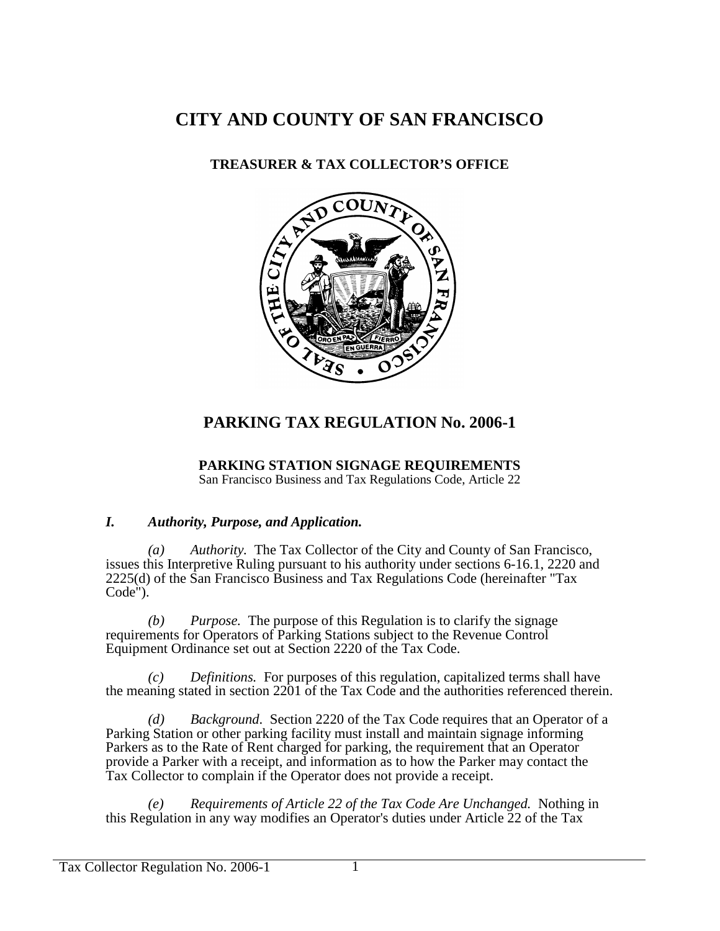# **CITY AND COUNTY OF SAN FRANCISCO**

### **TREASURER & TAX COLLECTOR'S OFFICE**



# **PARKING TAX REGULATION No. 2006-1**

### **PARKING STATION SIGNAGE REQUIREMENTS**

San Francisco Business and Tax Regulations Code, Article 22

#### *I. Authority, Purpose, and Application.*

*(a) Authority.* The Tax Collector of the City and County of San Francisco, issues this Interpretive Ruling pursuant to his authority under sections 6-16.1, 2220 and 2225(d) of the San Francisco Business and Tax Regulations Code (hereinafter "Tax Code").

*(b) Purpose.* The purpose of this Regulation is to clarify the signage requirements for Operators of Parking Stations subject to the Revenue Control Equipment Ordinance set out at Section 2220 of the Tax Code.

*(c) Definitions.* For purposes of this regulation, capitalized terms shall have the meaning stated in section 2201 of the Tax Code and the authorities referenced therein.

*(d) Background*. Section 2220 of the Tax Code requires that an Operator of a Parking Station or other parking facility must install and maintain signage informing Parkers as to the Rate of Rent charged for parking, the requirement that an Operator provide a Parker with a receipt, and information as to how the Parker may contact the Tax Collector to complain if the Operator does not provide a receipt.

*(e) Requirements of Article 22 of the Tax Code Are Unchanged.* Nothing in this Regulation in any way modifies an Operator's duties under Article 22 of the Tax